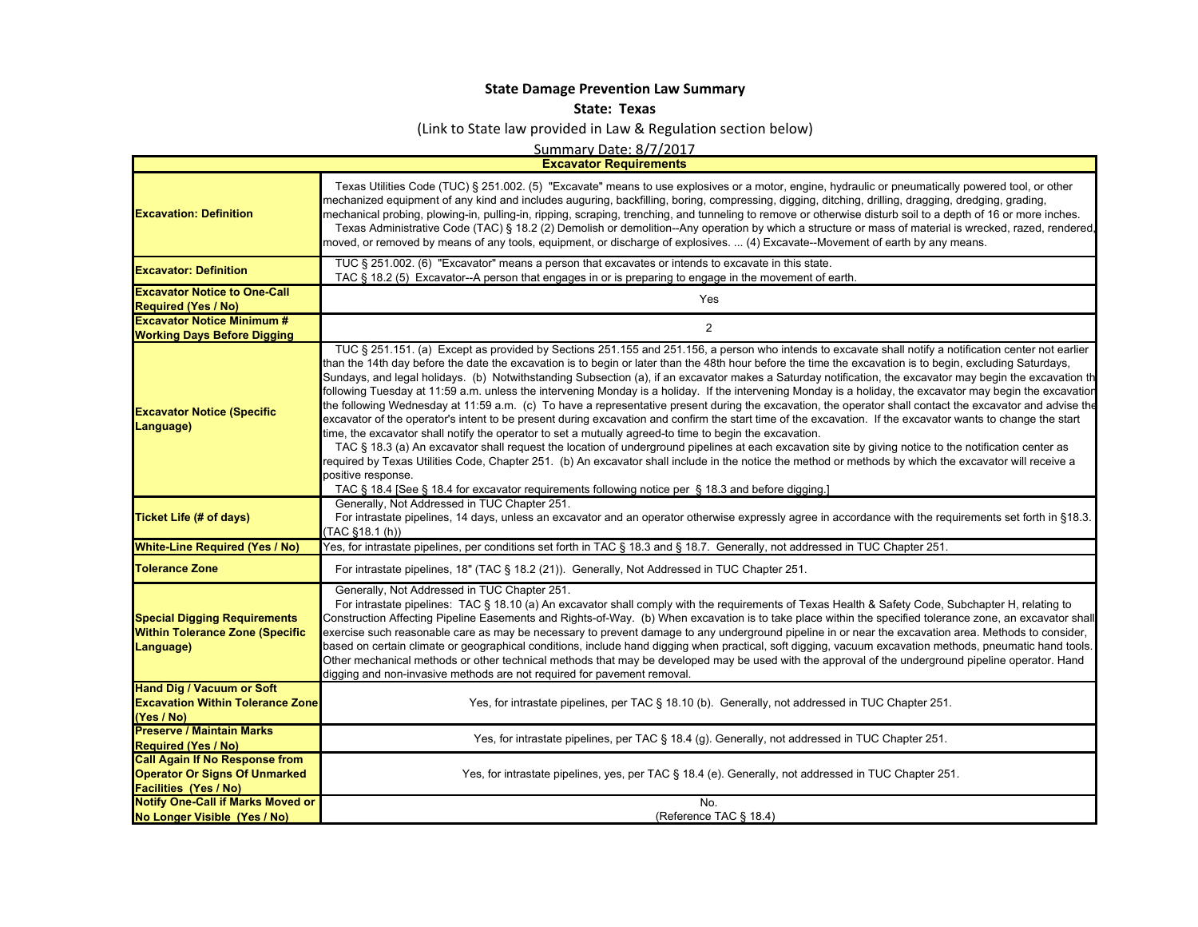## **State Damage Prevention Law Summary**

## **State: Texas**

## (Link to State law provided in Law & Regulation section below)

Summary Date: 8/7/2017

**Excavator Requirements**

| <b>Excavation: Definition</b>                                                                                 | Texas Utilities Code (TUC) § 251.002. (5) "Excavate" means to use explosives or a motor, engine, hydraulic or pneumatically powered tool, or other<br>mechanized equipment of any kind and includes auguring, backfilling, boring, compressing, digging, ditching, drilling, dragging, dredging, grading,<br>mechanical probing, plowing-in, pulling-in, ripping, scraping, trenching, and tunneling to remove or otherwise disturb soil to a depth of 16 or more inches.<br>Texas Administrative Code (TAC) § 18.2 (2) Demolish or demolition--Any operation by which a structure or mass of material is wrecked, razed, rendered,<br>moved, or removed by means of any tools, equipment, or discharge of explosives.  (4) Excavate--Movement of earth by any means.                                                                                                                                                                                                                                                                                                                                                                                                                                                                                                                                                                                                                                                                                                                                                                  |
|---------------------------------------------------------------------------------------------------------------|----------------------------------------------------------------------------------------------------------------------------------------------------------------------------------------------------------------------------------------------------------------------------------------------------------------------------------------------------------------------------------------------------------------------------------------------------------------------------------------------------------------------------------------------------------------------------------------------------------------------------------------------------------------------------------------------------------------------------------------------------------------------------------------------------------------------------------------------------------------------------------------------------------------------------------------------------------------------------------------------------------------------------------------------------------------------------------------------------------------------------------------------------------------------------------------------------------------------------------------------------------------------------------------------------------------------------------------------------------------------------------------------------------------------------------------------------------------------------------------------------------------------------------------|
| <b>Excavator: Definition</b>                                                                                  | TUC § 251.002. (6) "Excavator" means a person that excavates or intends to excavate in this state.<br>TAC § 18.2 (5) Excavator--A person that engages in or is preparing to engage in the movement of earth.                                                                                                                                                                                                                                                                                                                                                                                                                                                                                                                                                                                                                                                                                                                                                                                                                                                                                                                                                                                                                                                                                                                                                                                                                                                                                                                           |
| <b>Excavator Notice to One-Call</b><br><b>Required (Yes / No)</b>                                             | Yes                                                                                                                                                                                                                                                                                                                                                                                                                                                                                                                                                                                                                                                                                                                                                                                                                                                                                                                                                                                                                                                                                                                                                                                                                                                                                                                                                                                                                                                                                                                                    |
| <b>Excavator Notice Minimum #</b><br><b>Working Days Before Digging</b>                                       | $\overline{2}$                                                                                                                                                                                                                                                                                                                                                                                                                                                                                                                                                                                                                                                                                                                                                                                                                                                                                                                                                                                                                                                                                                                                                                                                                                                                                                                                                                                                                                                                                                                         |
| <b>Excavator Notice (Specific</b><br>Language)                                                                | TUC § 251.151. (a) Except as provided by Sections 251.155 and 251.156, a person who intends to excavate shall notify a notification center not earlier<br>than the 14th day before the date the excavation is to begin or later than the 48th hour before the time the excavation is to begin, excluding Saturdays,<br>Sundays, and legal holidays. (b) Notwithstanding Subsection (a), if an excavator makes a Saturday notification, the excavator may begin the excavation th<br>following Tuesday at 11:59 a.m. unless the intervening Monday is a holiday. If the intervening Monday is a holiday, the excavator may begin the excavatior<br>the following Wednesday at 11:59 a.m. (c) To have a representative present during the excavation, the operator shall contact the excavator and advise the<br>excavator of the operator's intent to be present during excavation and confirm the start time of the excavation. If the excavator wants to change the start<br>time, the excavator shall notify the operator to set a mutually agreed-to time to begin the excavation.<br>TAC § 18.3 (a) An excavator shall request the location of underground pipelines at each excavation site by giving notice to the notification center as<br>required by Texas Utilities Code, Chapter 251. (b) An excavator shall include in the notice the method or methods by which the excavator will receive a<br>positive response.<br>TAC § 18.4 [See § 18.4 for excavator requirements following notice per § 18.3 and before digging.] |
| <b>Ticket Life (# of days)</b>                                                                                | Generally, Not Addressed in TUC Chapter 251.<br>For intrastate pipelines, 14 days, unless an excavator and an operator otherwise expressly agree in accordance with the requirements set forth in §18.3.<br>$(TAC$ §18.1 $(h))$                                                                                                                                                                                                                                                                                                                                                                                                                                                                                                                                                                                                                                                                                                                                                                                                                                                                                                                                                                                                                                                                                                                                                                                                                                                                                                        |
| <b>White-Line Required (Yes / No)</b>                                                                         | Yes, for intrastate pipelines, per conditions set forth in TAC § 18.3 and § 18.7. Generally, not addressed in TUC Chapter 251.                                                                                                                                                                                                                                                                                                                                                                                                                                                                                                                                                                                                                                                                                                                                                                                                                                                                                                                                                                                                                                                                                                                                                                                                                                                                                                                                                                                                         |
| <b>Tolerance Zone</b>                                                                                         | For intrastate pipelines, 18" (TAC § 18.2 (21)). Generally, Not Addressed in TUC Chapter 251.                                                                                                                                                                                                                                                                                                                                                                                                                                                                                                                                                                                                                                                                                                                                                                                                                                                                                                                                                                                                                                                                                                                                                                                                                                                                                                                                                                                                                                          |
| <b>Special Digging Requirements</b><br><b>Within Tolerance Zone (Specific</b><br>Language)                    | Generally, Not Addressed in TUC Chapter 251.<br>For intrastate pipelines: TAC § 18.10 (a) An excavator shall comply with the requirements of Texas Health & Safety Code, Subchapter H, relating to<br>Construction Affecting Pipeline Easements and Rights-of-Way. (b) When excavation is to take place within the specified tolerance zone, an excavator shall<br>exercise such reasonable care as may be necessary to prevent damage to any underground pipeline in or near the excavation area. Methods to consider,<br>based on certain climate or geographical conditions, include hand digging when practical, soft digging, vacuum excavation methods, pneumatic hand tools.<br>Other mechanical methods or other technical methods that may be developed may be used with the approval of the underground pipeline operator. Hand<br>digging and non-invasive methods are not required for pavement removal.                                                                                                                                                                                                                                                                                                                                                                                                                                                                                                                                                                                                                   |
| <b>Hand Dig / Vacuum or Soft</b><br><b>Excavation Within Tolerance Zone</b><br>(Yes / No)                     | Yes, for intrastate pipelines, per TAC § 18.10 (b). Generally, not addressed in TUC Chapter 251.                                                                                                                                                                                                                                                                                                                                                                                                                                                                                                                                                                                                                                                                                                                                                                                                                                                                                                                                                                                                                                                                                                                                                                                                                                                                                                                                                                                                                                       |
| <b>Preserve / Maintain Marks</b><br><b>Required (Yes / No)</b>                                                | Yes, for intrastate pipelines, per TAC § 18.4 (g). Generally, not addressed in TUC Chapter 251.                                                                                                                                                                                                                                                                                                                                                                                                                                                                                                                                                                                                                                                                                                                                                                                                                                                                                                                                                                                                                                                                                                                                                                                                                                                                                                                                                                                                                                        |
| <b>Call Again If No Response from</b><br><b>Operator Or Signs Of Unmarked</b><br><b>Facilities (Yes / No)</b> | Yes, for intrastate pipelines, yes, per TAC § 18.4 (e). Generally, not addressed in TUC Chapter 251.                                                                                                                                                                                                                                                                                                                                                                                                                                                                                                                                                                                                                                                                                                                                                                                                                                                                                                                                                                                                                                                                                                                                                                                                                                                                                                                                                                                                                                   |
| <b>Notify One-Call if Marks Moved or</b><br>No Longer Visible (Yes / No)                                      | No.<br>(Reference TAC § 18.4)                                                                                                                                                                                                                                                                                                                                                                                                                                                                                                                                                                                                                                                                                                                                                                                                                                                                                                                                                                                                                                                                                                                                                                                                                                                                                                                                                                                                                                                                                                          |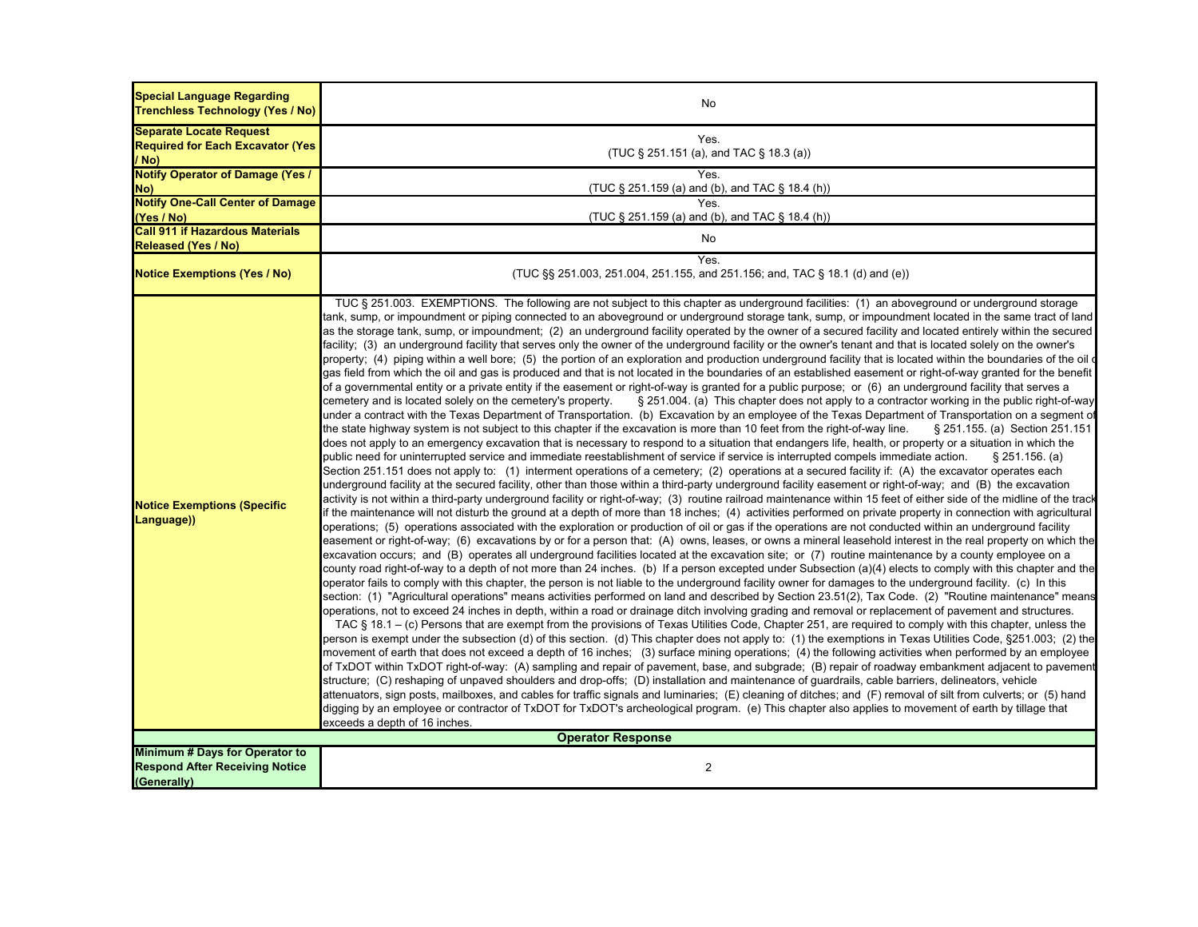| <b>Special Language Regarding</b><br><b>Trenchless Technology (Yes / No)</b>           | No                                                                                                                                                                                                                                                                                                                                                                                                                                                                                                                                                                                                                                                                                                                                                                                                                                                                                                                                                                                                                                                                                                                                                                                                                                                                                                                                                                                                                                                                                                                                                                                                                                                                                                                                                                                                                                                                                                                                                                                                                                                                                                                                                                                                                                                                                                                                                                                                                                                                                                                                                                                                                                                                                                                                                                                                                                                                                                                                                                                                                                                                                                                                                                                                                                                                                                                                                                                                                                                                                                                                                                                                                                                                                                                                                                                                                                                                                                                                                                                                                                                                                                                                                                                                                                                                                                                                                                                                                                                                                                                                                                                                                                                                                                                                                                                                                                                                                                                        |  |
|----------------------------------------------------------------------------------------|---------------------------------------------------------------------------------------------------------------------------------------------------------------------------------------------------------------------------------------------------------------------------------------------------------------------------------------------------------------------------------------------------------------------------------------------------------------------------------------------------------------------------------------------------------------------------------------------------------------------------------------------------------------------------------------------------------------------------------------------------------------------------------------------------------------------------------------------------------------------------------------------------------------------------------------------------------------------------------------------------------------------------------------------------------------------------------------------------------------------------------------------------------------------------------------------------------------------------------------------------------------------------------------------------------------------------------------------------------------------------------------------------------------------------------------------------------------------------------------------------------------------------------------------------------------------------------------------------------------------------------------------------------------------------------------------------------------------------------------------------------------------------------------------------------------------------------------------------------------------------------------------------------------------------------------------------------------------------------------------------------------------------------------------------------------------------------------------------------------------------------------------------------------------------------------------------------------------------------------------------------------------------------------------------------------------------------------------------------------------------------------------------------------------------------------------------------------------------------------------------------------------------------------------------------------------------------------------------------------------------------------------------------------------------------------------------------------------------------------------------------------------------------------------------------------------------------------------------------------------------------------------------------------------------------------------------------------------------------------------------------------------------------------------------------------------------------------------------------------------------------------------------------------------------------------------------------------------------------------------------------------------------------------------------------------------------------------------------------------------------------------------------------------------------------------------------------------------------------------------------------------------------------------------------------------------------------------------------------------------------------------------------------------------------------------------------------------------------------------------------------------------------------------------------------------------------------------------------------------------------------------------------------------------------------------------------------------------------------------------------------------------------------------------------------------------------------------------------------------------------------------------------------------------------------------------------------------------------------------------------------------------------------------------------------------------------------------------------------------------------------------------------------------------------------------------------------------------------------------------------------------------------------------------------------------------------------------------------------------------------------------------------------------------------------------------------------------------------------------------------------------------------------------------------------------------------------------------------------------------------------------------------------------------------|--|
| <b>Separate Locate Request</b><br><b>Required for Each Excavator (Yes)</b><br>$/$ No)  | Yes.<br>(TUC § 251.151 (a), and TAC § 18.3 (a))                                                                                                                                                                                                                                                                                                                                                                                                                                                                                                                                                                                                                                                                                                                                                                                                                                                                                                                                                                                                                                                                                                                                                                                                                                                                                                                                                                                                                                                                                                                                                                                                                                                                                                                                                                                                                                                                                                                                                                                                                                                                                                                                                                                                                                                                                                                                                                                                                                                                                                                                                                                                                                                                                                                                                                                                                                                                                                                                                                                                                                                                                                                                                                                                                                                                                                                                                                                                                                                                                                                                                                                                                                                                                                                                                                                                                                                                                                                                                                                                                                                                                                                                                                                                                                                                                                                                                                                                                                                                                                                                                                                                                                                                                                                                                                                                                                                                           |  |
| <b>Notify Operator of Damage (Yes /</b><br>No)                                         | Yes.<br>(TUC § 251.159 (a) and (b), and TAC § 18.4 (h))                                                                                                                                                                                                                                                                                                                                                                                                                                                                                                                                                                                                                                                                                                                                                                                                                                                                                                                                                                                                                                                                                                                                                                                                                                                                                                                                                                                                                                                                                                                                                                                                                                                                                                                                                                                                                                                                                                                                                                                                                                                                                                                                                                                                                                                                                                                                                                                                                                                                                                                                                                                                                                                                                                                                                                                                                                                                                                                                                                                                                                                                                                                                                                                                                                                                                                                                                                                                                                                                                                                                                                                                                                                                                                                                                                                                                                                                                                                                                                                                                                                                                                                                                                                                                                                                                                                                                                                                                                                                                                                                                                                                                                                                                                                                                                                                                                                                   |  |
| <b>Notify One-Call Center of Damage</b><br>(Yes / No)                                  | <b>Yes</b><br>(TUC § 251.159 (a) and (b), and TAC § 18.4 (h))                                                                                                                                                                                                                                                                                                                                                                                                                                                                                                                                                                                                                                                                                                                                                                                                                                                                                                                                                                                                                                                                                                                                                                                                                                                                                                                                                                                                                                                                                                                                                                                                                                                                                                                                                                                                                                                                                                                                                                                                                                                                                                                                                                                                                                                                                                                                                                                                                                                                                                                                                                                                                                                                                                                                                                                                                                                                                                                                                                                                                                                                                                                                                                                                                                                                                                                                                                                                                                                                                                                                                                                                                                                                                                                                                                                                                                                                                                                                                                                                                                                                                                                                                                                                                                                                                                                                                                                                                                                                                                                                                                                                                                                                                                                                                                                                                                                             |  |
| <b>Call 911 if Hazardous Materials</b><br>Released (Yes / No)                          | No                                                                                                                                                                                                                                                                                                                                                                                                                                                                                                                                                                                                                                                                                                                                                                                                                                                                                                                                                                                                                                                                                                                                                                                                                                                                                                                                                                                                                                                                                                                                                                                                                                                                                                                                                                                                                                                                                                                                                                                                                                                                                                                                                                                                                                                                                                                                                                                                                                                                                                                                                                                                                                                                                                                                                                                                                                                                                                                                                                                                                                                                                                                                                                                                                                                                                                                                                                                                                                                                                                                                                                                                                                                                                                                                                                                                                                                                                                                                                                                                                                                                                                                                                                                                                                                                                                                                                                                                                                                                                                                                                                                                                                                                                                                                                                                                                                                                                                                        |  |
| <b>Notice Exemptions (Yes / No)</b>                                                    | Yes.<br>(TUC §§ 251.003, 251.004, 251.155, and 251.156; and, TAC § 18.1 (d) and (e))                                                                                                                                                                                                                                                                                                                                                                                                                                                                                                                                                                                                                                                                                                                                                                                                                                                                                                                                                                                                                                                                                                                                                                                                                                                                                                                                                                                                                                                                                                                                                                                                                                                                                                                                                                                                                                                                                                                                                                                                                                                                                                                                                                                                                                                                                                                                                                                                                                                                                                                                                                                                                                                                                                                                                                                                                                                                                                                                                                                                                                                                                                                                                                                                                                                                                                                                                                                                                                                                                                                                                                                                                                                                                                                                                                                                                                                                                                                                                                                                                                                                                                                                                                                                                                                                                                                                                                                                                                                                                                                                                                                                                                                                                                                                                                                                                                      |  |
| <b>Notice Exemptions (Specific</b><br>Language))                                       | TUC § 251.003. EXEMPTIONS. The following are not subject to this chapter as underground facilities: (1) an aboveground or underground storage<br>tank, sump, or impoundment or piping connected to an aboveground or underground storage tank, sump, or impoundment located in the same tract of land<br>as the storage tank, sump, or impoundment; (2) an underground facility operated by the owner of a secured facility and located entirely within the secured<br>facility; (3) an underground facility that serves only the owner of the underground facility or the owner's tenant and that is located solely on the owner's<br>property; (4) piping within a well bore; (5) the portion of an exploration and production underground facility that is located within the boundaries of the oil<br>gas field from which the oil and gas is produced and that is not located in the boundaries of an established easement or right-of-way granted for the benefit<br>of a governmental entity or a private entity if the easement or right-of-way is granted for a public purpose; or (6) an underground facility that serves a<br>cemetery and is located solely on the cemetery's property.<br>§ 251.004. (a) This chapter does not apply to a contractor working in the public right-of-way<br>under a contract with the Texas Department of Transportation.  (b)  Excavation by an employee of the Texas Department of Transportation on a segment of<br>the state highway system is not subject to this chapter if the excavation is more than 10 feet from the right-of-way line.<br>§ 251.155. (a) Section 251.151<br>does not apply to an emergency excavation that is necessary to respond to a situation that endangers life, health, or property or a situation in which the<br>public need for uninterrupted service and immediate reestablishment of service if service is interrupted compels immediate action.<br>$\S$ 251.156. (a)<br>Section 251.151 does not apply to: (1) interment operations of a cemetery; (2) operations at a secured facility if: (A) the excavator operates each<br>underground facility at the secured facility, other than those within a third-party underground facility easement or right-of-way; and (B) the excavation<br>activity is not within a third-party underground facility or right-of-way; (3) routine railroad maintenance within 15 feet of either side of the midline of the track<br>if the maintenance will not disturb the ground at a depth of more than 18 inches; (4) activities performed on private property in connection with agricultural<br>operations; (5) operations associated with the exploration or production of oil or gas if the operations are not conducted within an underground facility<br>easement or right-of-way; (6) excavations by or for a person that: (A) owns, leases, or owns a mineral leasehold interest in the real property on which the<br>excavation occurs; and (B) operates all underground facilities located at the excavation site; or (7) routine maintenance by a county employee on a<br>county road right-of-way to a depth of not more than 24 inches. (b) If a person excepted under Subsection (a)(4) elects to comply with this chapter and the<br>operator fails to comply with this chapter, the person is not liable to the underground facility owner for damages to the underground facility. (c) In this<br>section: (1) "Agricultural operations" means activities performed on land and described by Section 23.51(2), Tax Code. (2) "Routine maintenance" means<br>operations, not to exceed 24 inches in depth, within a road or drainage ditch involving grading and removal or replacement of pavement and structures.<br>TAC $\S$ 18.1 – (c) Persons that are exempt from the provisions of Texas Utilities Code, Chapter 251, are required to comply with this chapter, unless the<br>person is exempt under the subsection (d) of this section. (d) This chapter does not apply to: (1) the exemptions in Texas Utilities Code, §251.003; (2) the<br>movement of earth that does not exceed a depth of 16 inches; (3) surface mining operations; (4) the following activities when performed by an employee<br>of TxDOT within TxDOT right-of-way: (A) sampling and repair of pavement, base, and subgrade; (B) repair of roadway embankment adjacent to pavement<br>structure; (C) reshaping of unpaved shoulders and drop-offs; (D) installation and maintenance of guardrails, cable barriers, delineators, vehicle<br>attenuators, sign posts, mailboxes, and cables for traffic signals and luminaries; (E) cleaning of ditches; and (F) removal of silt from culverts; or (5) hand<br>digging by an employee or contractor of TxDOT for TxDOT's archeological program. (e) This chapter also applies to movement of earth by tillage that<br>exceeds a depth of 16 inches. |  |
| <b>Operator Response</b>                                                               |                                                                                                                                                                                                                                                                                                                                                                                                                                                                                                                                                                                                                                                                                                                                                                                                                                                                                                                                                                                                                                                                                                                                                                                                                                                                                                                                                                                                                                                                                                                                                                                                                                                                                                                                                                                                                                                                                                                                                                                                                                                                                                                                                                                                                                                                                                                                                                                                                                                                                                                                                                                                                                                                                                                                                                                                                                                                                                                                                                                                                                                                                                                                                                                                                                                                                                                                                                                                                                                                                                                                                                                                                                                                                                                                                                                                                                                                                                                                                                                                                                                                                                                                                                                                                                                                                                                                                                                                                                                                                                                                                                                                                                                                                                                                                                                                                                                                                                                           |  |
| Minimum # Days for Operator to<br><b>Respond After Receiving Notice</b><br>(Generally) | $\overline{2}$                                                                                                                                                                                                                                                                                                                                                                                                                                                                                                                                                                                                                                                                                                                                                                                                                                                                                                                                                                                                                                                                                                                                                                                                                                                                                                                                                                                                                                                                                                                                                                                                                                                                                                                                                                                                                                                                                                                                                                                                                                                                                                                                                                                                                                                                                                                                                                                                                                                                                                                                                                                                                                                                                                                                                                                                                                                                                                                                                                                                                                                                                                                                                                                                                                                                                                                                                                                                                                                                                                                                                                                                                                                                                                                                                                                                                                                                                                                                                                                                                                                                                                                                                                                                                                                                                                                                                                                                                                                                                                                                                                                                                                                                                                                                                                                                                                                                                                            |  |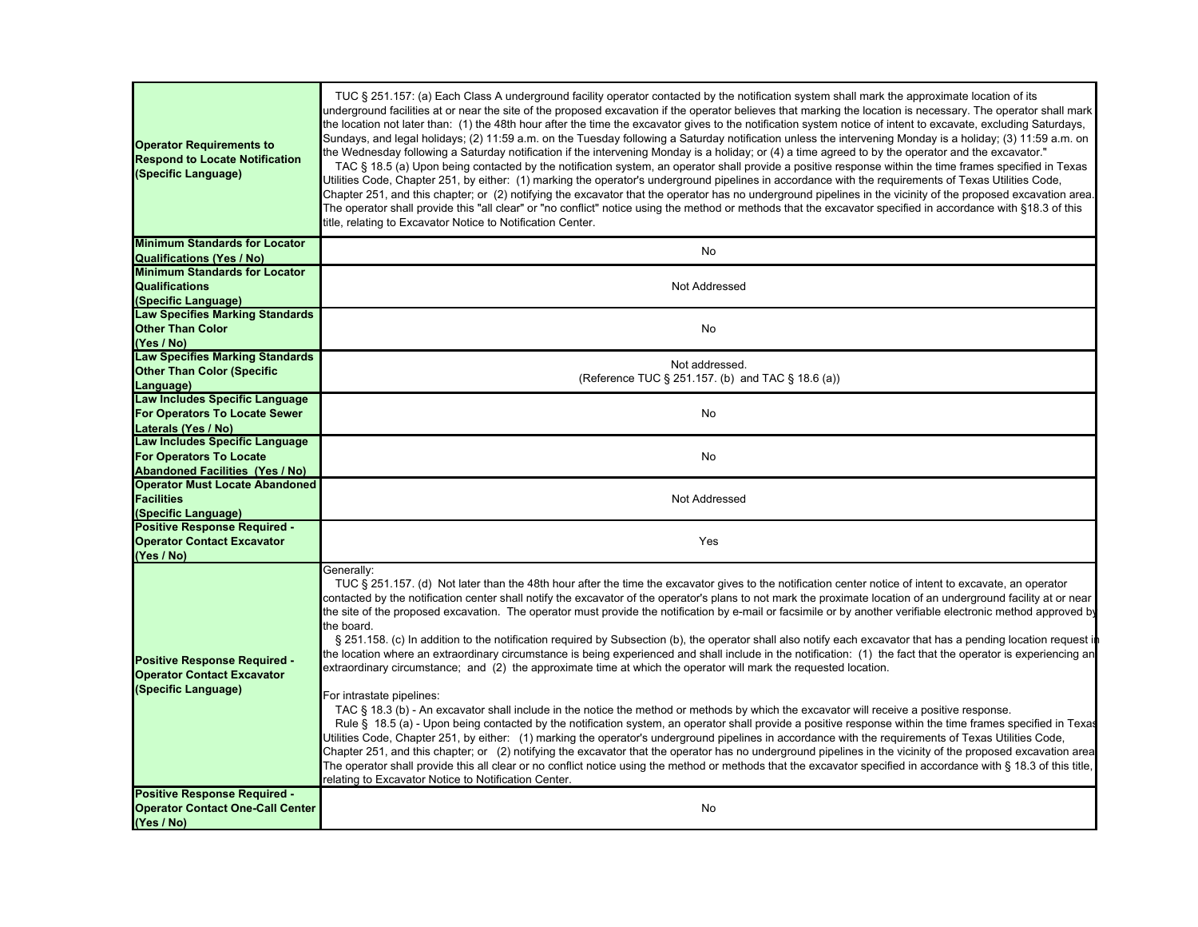| <b>Operator Requirements to</b><br><b>Respond to Locate Notification</b><br>(Specific Language) | TUC § 251.157: (a) Each Class A underground facility operator contacted by the notification system shall mark the approximate location of its<br>underground facilities at or near the site of the proposed excavation if the operator believes that marking the location is necessary. The operator shall mark<br>the location not later than: (1) the 48th hour after the time the excavator gives to the notification system notice of intent to excavate, excluding Saturdays,<br>Sundays, and legal holidays; (2) 11:59 a.m. on the Tuesday following a Saturday notification unless the intervening Monday is a holiday; (3) 11:59 a.m. on<br>the Wednesday following a Saturday notification if the intervening Monday is a holiday; or (4) a time agreed to by the operator and the excavator."<br>TAC § 18.5 (a) Upon being contacted by the notification system, an operator shall provide a positive response within the time frames specified in Texas<br>Utilities Code, Chapter 251, by either: (1) marking the operator's underground pipelines in accordance with the requirements of Texas Utilities Code,<br>Chapter 251, and this chapter; or (2) notifying the excavator that the operator has no underground pipelines in the vicinity of the proposed excavation area.<br>The operator shall provide this "all clear" or "no conflict" notice using the method or methods that the excavator specified in accordance with §18.3 of this<br>title, relating to Excavator Notice to Notification Center.                                                                                                                                                                                                                                                                                           |
|-------------------------------------------------------------------------------------------------|------------------------------------------------------------------------------------------------------------------------------------------------------------------------------------------------------------------------------------------------------------------------------------------------------------------------------------------------------------------------------------------------------------------------------------------------------------------------------------------------------------------------------------------------------------------------------------------------------------------------------------------------------------------------------------------------------------------------------------------------------------------------------------------------------------------------------------------------------------------------------------------------------------------------------------------------------------------------------------------------------------------------------------------------------------------------------------------------------------------------------------------------------------------------------------------------------------------------------------------------------------------------------------------------------------------------------------------------------------------------------------------------------------------------------------------------------------------------------------------------------------------------------------------------------------------------------------------------------------------------------------------------------------------------------------------------------------------------------------------------------------------------------------------------------------------------|
| <b>Minimum Standards for Locator</b>                                                            | No                                                                                                                                                                                                                                                                                                                                                                                                                                                                                                                                                                                                                                                                                                                                                                                                                                                                                                                                                                                                                                                                                                                                                                                                                                                                                                                                                                                                                                                                                                                                                                                                                                                                                                                                                                                                                     |
| <b>Qualifications (Yes / No)</b><br><b>Minimum Standards for Locator</b>                        |                                                                                                                                                                                                                                                                                                                                                                                                                                                                                                                                                                                                                                                                                                                                                                                                                                                                                                                                                                                                                                                                                                                                                                                                                                                                                                                                                                                                                                                                                                                                                                                                                                                                                                                                                                                                                        |
| <b>Qualifications</b><br>(Specific Language)                                                    | Not Addressed                                                                                                                                                                                                                                                                                                                                                                                                                                                                                                                                                                                                                                                                                                                                                                                                                                                                                                                                                                                                                                                                                                                                                                                                                                                                                                                                                                                                                                                                                                                                                                                                                                                                                                                                                                                                          |
| <b>Law Specifies Marking Standards</b><br><b>Other Than Color</b><br>(Yes / No)                 | No                                                                                                                                                                                                                                                                                                                                                                                                                                                                                                                                                                                                                                                                                                                                                                                                                                                                                                                                                                                                                                                                                                                                                                                                                                                                                                                                                                                                                                                                                                                                                                                                                                                                                                                                                                                                                     |
| <b>Law Specifies Marking Standards</b><br><b>Other Than Color (Specific</b><br>Language)        | Not addressed.<br>(Reference TUC § 251.157. (b) and TAC § 18.6 (a))                                                                                                                                                                                                                                                                                                                                                                                                                                                                                                                                                                                                                                                                                                                                                                                                                                                                                                                                                                                                                                                                                                                                                                                                                                                                                                                                                                                                                                                                                                                                                                                                                                                                                                                                                    |
| Law Includes Specific Language<br><b>For Operators To Locate Sewer</b><br>Laterals (Yes / No)   | <b>No</b>                                                                                                                                                                                                                                                                                                                                                                                                                                                                                                                                                                                                                                                                                                                                                                                                                                                                                                                                                                                                                                                                                                                                                                                                                                                                                                                                                                                                                                                                                                                                                                                                                                                                                                                                                                                                              |
| Law Includes Specific Language<br><b>For Operators To Locate</b>                                | No                                                                                                                                                                                                                                                                                                                                                                                                                                                                                                                                                                                                                                                                                                                                                                                                                                                                                                                                                                                                                                                                                                                                                                                                                                                                                                                                                                                                                                                                                                                                                                                                                                                                                                                                                                                                                     |
| <b>Abandoned Facilities (Yes / No)</b><br><b>Operator Must Locate Abandoned</b>                 |                                                                                                                                                                                                                                                                                                                                                                                                                                                                                                                                                                                                                                                                                                                                                                                                                                                                                                                                                                                                                                                                                                                                                                                                                                                                                                                                                                                                                                                                                                                                                                                                                                                                                                                                                                                                                        |
| <b>Facilities</b><br>(Specific Language)                                                        | Not Addressed                                                                                                                                                                                                                                                                                                                                                                                                                                                                                                                                                                                                                                                                                                                                                                                                                                                                                                                                                                                                                                                                                                                                                                                                                                                                                                                                                                                                                                                                                                                                                                                                                                                                                                                                                                                                          |
| <b>Positive Response Required -</b><br><b>Operator Contact Excavator</b><br>(Yes / No)          | Yes                                                                                                                                                                                                                                                                                                                                                                                                                                                                                                                                                                                                                                                                                                                                                                                                                                                                                                                                                                                                                                                                                                                                                                                                                                                                                                                                                                                                                                                                                                                                                                                                                                                                                                                                                                                                                    |
| <b>Positive Response Required -</b><br><b>Operator Contact Excavator</b><br>(Specific Language) | Generally:<br>TUC § 251.157. (d) Not later than the 48th hour after the time the excavator gives to the notification center notice of intent to excavate, an operator<br>contacted by the notification center shall notify the excavator of the operator's plans to not mark the proximate location of an underground facility at or near<br>the site of the proposed excavation. The operator must provide the notification by e-mail or facsimile or by another verifiable electronic method approved by<br>the board.<br>§ 251.158. (c) In addition to the notification required by Subsection (b), the operator shall also notify each excavator that has a pending location request in<br>the location where an extraordinary circumstance is being experienced and shall include in the notification: (1) the fact that the operator is experiencing an<br>extraordinary circumstance; and (2) the approximate time at which the operator will mark the requested location.<br>For intrastate pipelines:<br>TAC § 18.3 (b) - An excavator shall include in the notice the method or methods by which the excavator will receive a positive response.<br>Rule § 18.5 (a) - Upon being contacted by the notification system, an operator shall provide a positive response within the time frames specified in Texas<br>Utilities Code, Chapter 251, by either: (1) marking the operator's underground pipelines in accordance with the requirements of Texas Utilities Code,<br>Chapter 251, and this chapter; or (2) notifying the excavator that the operator has no underground pipelines in the vicinity of the proposed excavation area<br>The operator shall provide this all clear or no conflict notice using the method or methods that the excavator specified in accordance with § 18.3 of this title, |
| <b>Positive Response Required -</b><br><b>Operator Contact One-Call Center</b><br>(Yes / No)    | relating to Excavator Notice to Notification Center.<br>No                                                                                                                                                                                                                                                                                                                                                                                                                                                                                                                                                                                                                                                                                                                                                                                                                                                                                                                                                                                                                                                                                                                                                                                                                                                                                                                                                                                                                                                                                                                                                                                                                                                                                                                                                             |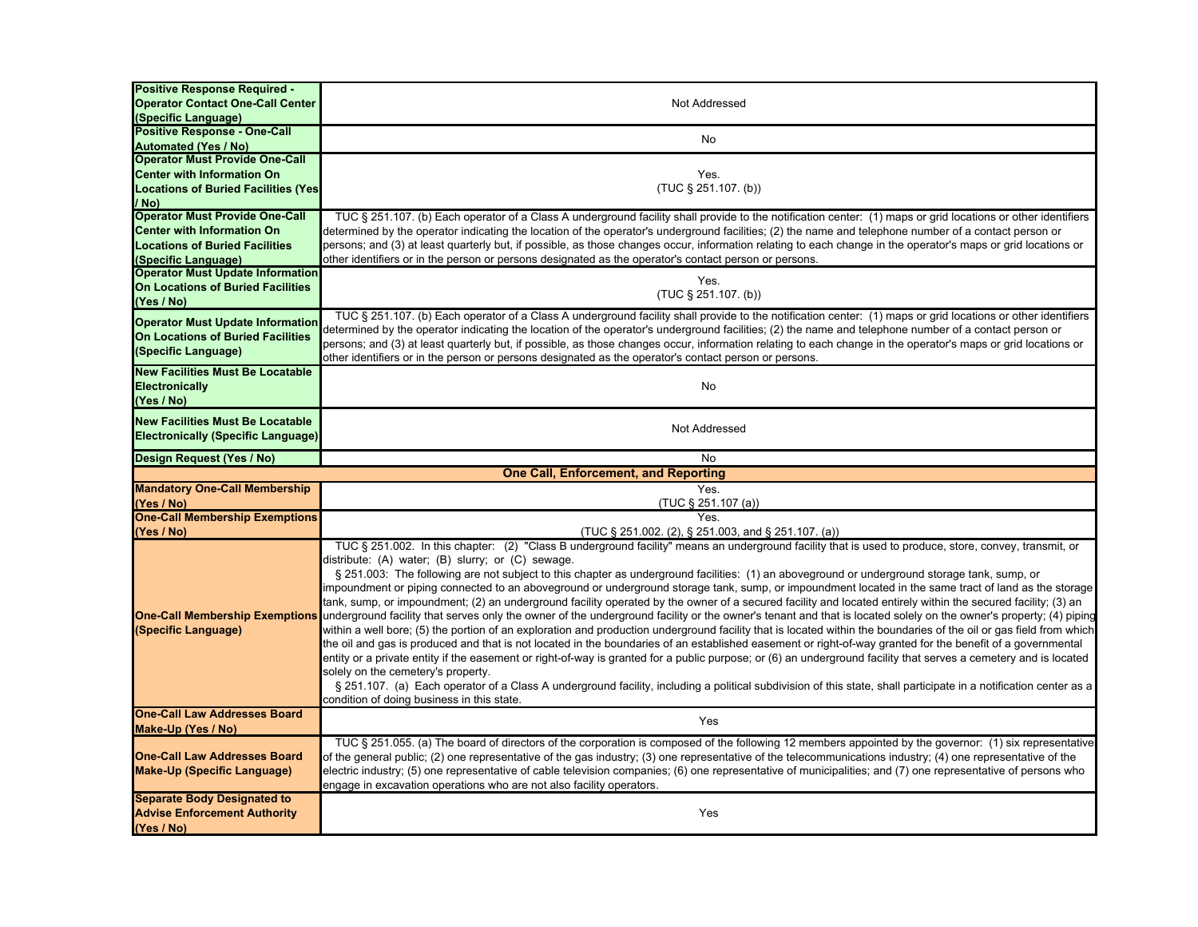| <b>Positive Response Required -</b>               |                                                                                                                                                                                                 |
|---------------------------------------------------|-------------------------------------------------------------------------------------------------------------------------------------------------------------------------------------------------|
| <b>Operator Contact One-Call Center</b>           | Not Addressed                                                                                                                                                                                   |
| (Specific Language)                               |                                                                                                                                                                                                 |
| <b>Positive Response - One-Call</b>               | No                                                                                                                                                                                              |
| <b>Automated (Yes / No)</b>                       |                                                                                                                                                                                                 |
| <b>Operator Must Provide One-Call</b>             |                                                                                                                                                                                                 |
| <b>Center with Information On</b>                 | Yes.                                                                                                                                                                                            |
| <b>Locations of Buried Facilities (Yes)</b>       | $(TUC \S 251.107. (b))$                                                                                                                                                                         |
| / No)                                             |                                                                                                                                                                                                 |
| <b>Operator Must Provide One-Call</b>             | TUC § 251.107. (b) Each operator of a Class A underground facility shall provide to the notification center: (1) maps or grid locations or other identifiers                                    |
| <b>Center with Information On</b>                 | determined by the operator indicating the location of the operator's underground facilities; (2) the name and telephone number of a contact person or                                           |
| <b>Locations of Buried Facilities</b>             | persons; and (3) at least quarterly but, if possible, as those changes occur, information relating to each change in the operator's maps or grid locations or                                   |
| (Specific Language)                               | other identifiers or in the person or persons designated as the operator's contact person or persons.                                                                                           |
| <b>Operator Must Update Information</b>           |                                                                                                                                                                                                 |
| <b>On Locations of Buried Facilities</b>          | Yes.                                                                                                                                                                                            |
| (Yes / No)                                        | (TUC § 251.107. (b))                                                                                                                                                                            |
|                                                   | TUC § 251.107. (b) Each operator of a Class A underground facility shall provide to the notification center: (1) maps or grid locations or other identifiers                                    |
| <b>Operator Must Update Information</b>           | determined by the operator indicating the location of the operator's underground facilities; (2) the name and telephone number of a contact person or                                           |
| <b>On Locations of Buried Facilities</b>          | persons; and (3) at least quarterly but, if possible, as those changes occur, information relating to each change in the operator's maps or grid locations or                                   |
| (Specific Language)                               | other identifiers or in the person or persons designated as the operator's contact person or persons.                                                                                           |
| <b>New Facilities Must Be Locatable</b>           |                                                                                                                                                                                                 |
| Electronically                                    | No                                                                                                                                                                                              |
| (Yes / No)                                        |                                                                                                                                                                                                 |
|                                                   |                                                                                                                                                                                                 |
| <b>New Facilities Must Be Locatable</b>           | Not Addressed                                                                                                                                                                                   |
| <b>Electronically (Specific Language)</b>         |                                                                                                                                                                                                 |
| Design Request (Yes / No)                         | No                                                                                                                                                                                              |
|                                                   |                                                                                                                                                                                                 |
|                                                   |                                                                                                                                                                                                 |
|                                                   | <b>One Call, Enforcement, and Reporting</b>                                                                                                                                                     |
| <b>Mandatory One-Call Membership</b>              | Yes.                                                                                                                                                                                            |
| (Yes / No)                                        | $(TUC \S 251.107 (a))$                                                                                                                                                                          |
| <b>One-Call Membership Exemptions</b>             | Yes.                                                                                                                                                                                            |
| (Yes / No)                                        | (TUC § 251.002. (2), § 251.003, and § 251.107. (a))                                                                                                                                             |
|                                                   | TUC § 251.002. In this chapter: (2) "Class B underground facility" means an underground facility that is used to produce, store, convey, transmit, or                                           |
|                                                   | distribute: (A) water; (B) slurry; or (C) sewage.                                                                                                                                               |
|                                                   | § 251.003: The following are not subject to this chapter as underground facilities: (1) an aboveground or underground storage tank, sump, or                                                    |
|                                                   | impoundment or piping connected to an aboveground or underground storage tank, sump, or impoundment located in the same tract of land as the storage                                            |
|                                                   | tank, sump, or impoundment; (2) an underground facility operated by the owner of a secured facility and located entirely within the secured facility; (3) an                                    |
|                                                   | One-Call Membership Exemptions underground facility that serves only the owner of the underground facility or the owner's tenant and that is located solely on the owner's property; (4) piping |
| (Specific Language)                               | within a well bore; (5) the portion of an exploration and production underground facility that is located within the boundaries of the oil or gas field from which                              |
|                                                   | the oil and gas is produced and that is not located in the boundaries of an established easement or right-of-way granted for the benefit of a governmental                                      |
|                                                   | entity or a private entity if the easement or right-of-way is granted for a public purpose; or (6) an underground facility that serves a cemetery and is located                                |
|                                                   | solely on the cemetery's property.                                                                                                                                                              |
|                                                   | § 251.107. (a) Each operator of a Class A underground facility, including a political subdivision of this state, shall participate in a notification center as a                                |
|                                                   | condition of doing business in this state.                                                                                                                                                      |
| <b>One-Call Law Addresses Board</b>               | Yes                                                                                                                                                                                             |
| Make-Up (Yes / No)                                |                                                                                                                                                                                                 |
|                                                   | TUC § 251.055. (a) The board of directors of the corporation is composed of the following 12 members appointed by the governor: (1) six representative                                          |
| <b>One-Call Law Addresses Board</b>               | of the general public; (2) one representative of the gas industry; (3) one representative of the telecommunications industry; (4) one representative of the                                     |
| <b>Make-Up (Specific Language)</b>                | electric industry; (5) one representative of cable television companies; (6) one representative of municipalities; and (7) one representative of persons who                                    |
|                                                   | engage in excavation operations who are not also facility operators.                                                                                                                            |
| <b>Separate Body Designated to</b>                |                                                                                                                                                                                                 |
| <b>Advise Enforcement Authority</b><br>(Yes / No) | Yes                                                                                                                                                                                             |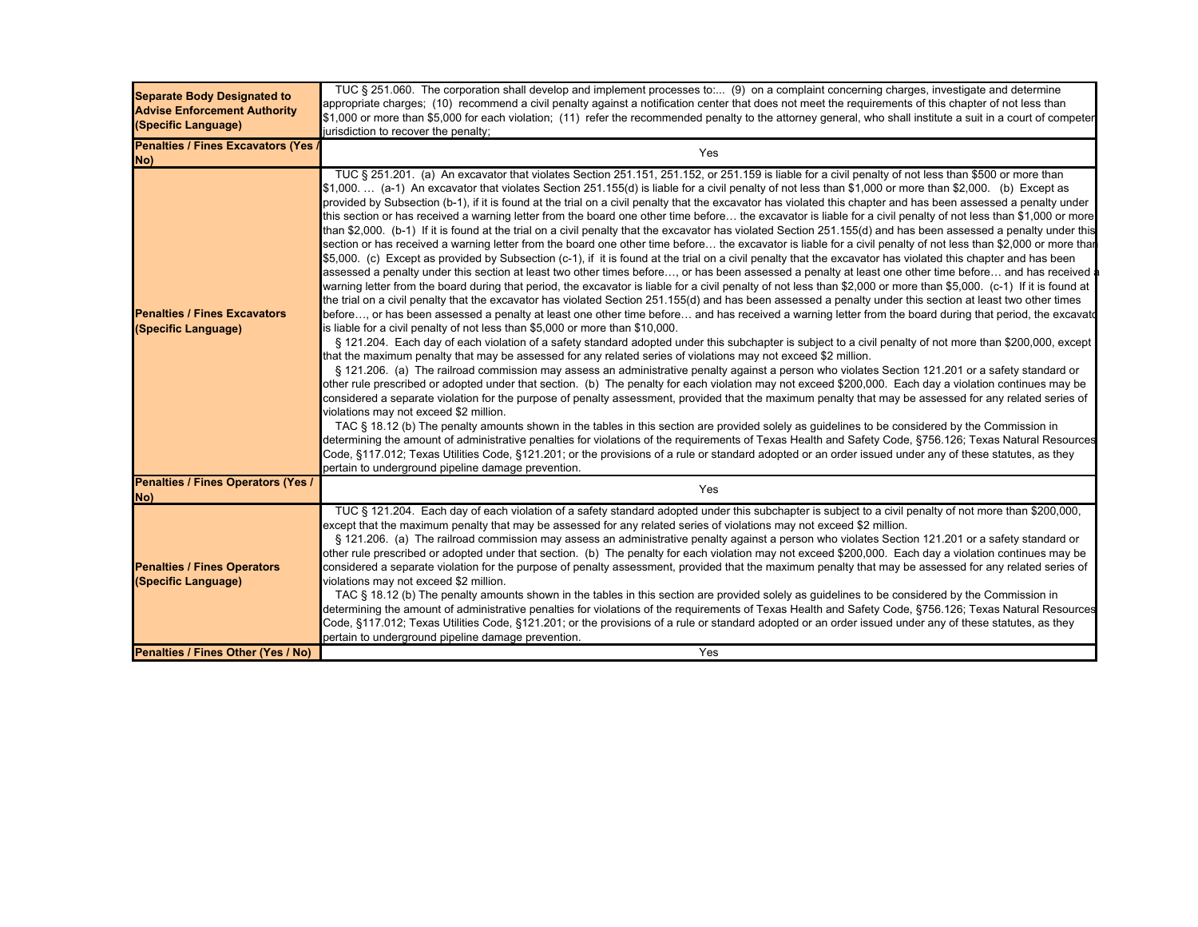| <b>Separate Body Designated to</b><br><b>Advise Enforcement Authority</b><br>(Specific Language) | TUC § 251.060. The corporation shall develop and implement processes to: (9) on a complaint concerning charges, investigate and determine<br>appropriate charges; (10) recommend a civil penalty against a notification center that does not meet the requirements of this chapter of not less than<br>\$1,000 or more than \$5,000 for each violation; (11) refer the recommended penalty to the attorney general, who shall institute a suit in a court of competer<br>jurisdiction to recover the penalty;                                                                                                                                                                                                                                                                                                                                                                                                                                                                                                                                                                                                                                                                                                                                                                                                                                                                                                                                                                                                                                                                                                                                                                                                                                                                                                                                                                                                                                                                                                                                                                                                                                                                                                                                                                                                                                                                                                                                                                                                                                                                                                                                                                                                                                                                                                                                                                                                                                                                                                                                                                                                                                                                                                                                      |
|--------------------------------------------------------------------------------------------------|----------------------------------------------------------------------------------------------------------------------------------------------------------------------------------------------------------------------------------------------------------------------------------------------------------------------------------------------------------------------------------------------------------------------------------------------------------------------------------------------------------------------------------------------------------------------------------------------------------------------------------------------------------------------------------------------------------------------------------------------------------------------------------------------------------------------------------------------------------------------------------------------------------------------------------------------------------------------------------------------------------------------------------------------------------------------------------------------------------------------------------------------------------------------------------------------------------------------------------------------------------------------------------------------------------------------------------------------------------------------------------------------------------------------------------------------------------------------------------------------------------------------------------------------------------------------------------------------------------------------------------------------------------------------------------------------------------------------------------------------------------------------------------------------------------------------------------------------------------------------------------------------------------------------------------------------------------------------------------------------------------------------------------------------------------------------------------------------------------------------------------------------------------------------------------------------------------------------------------------------------------------------------------------------------------------------------------------------------------------------------------------------------------------------------------------------------------------------------------------------------------------------------------------------------------------------------------------------------------------------------------------------------------------------------------------------------------------------------------------------------------------------------------------------------------------------------------------------------------------------------------------------------------------------------------------------------------------------------------------------------------------------------------------------------------------------------------------------------------------------------------------------------------------------------------------------------------------------------------------------------|
| Penalties / Fines Excavators (Yes<br>No)                                                         | Yes                                                                                                                                                                                                                                                                                                                                                                                                                                                                                                                                                                                                                                                                                                                                                                                                                                                                                                                                                                                                                                                                                                                                                                                                                                                                                                                                                                                                                                                                                                                                                                                                                                                                                                                                                                                                                                                                                                                                                                                                                                                                                                                                                                                                                                                                                                                                                                                                                                                                                                                                                                                                                                                                                                                                                                                                                                                                                                                                                                                                                                                                                                                                                                                                                                                |
| <b>Penalties / Fines Excavators</b><br>(Specific Language)                                       | TUC § 251.201. (a) An excavator that violates Section 251.151, 251.152, or 251.159 is liable for a civil penalty of not less than \$500 or more than<br>\$1,000.  (a-1) An excavator that violates Section 251.155(d) is liable for a civil penalty of not less than \$1,000 or more than \$2,000. (b) Except as<br>provided by Subsection (b-1), if it is found at the trial on a civil penalty that the excavator has violated this chapter and has been assessed a penalty under<br>this section or has received a warning letter from the board one other time before the excavator is liable for a civil penalty of not less than \$1,000 or more<br>than \$2,000. (b-1) If it is found at the trial on a civil penalty that the excavator has violated Section 251.155(d) and has been assessed a penalty under this<br>section or has received a warning letter from the board one other time before the excavator is liable for a civil penalty of not less than \$2,000 or more thar<br>\$5,000. (c) Except as provided by Subsection (c-1), if it is found at the trial on a civil penalty that the excavator has violated this chapter and has been<br>assessed a penalty under this section at least two other times before…, or has been assessed a penalty at least one other time before… and has received a<br>warning letter from the board during that period, the excavator is liable for a civil penalty of not less than \$2,000 or more than \$5,000. (c-1) If it is found at<br>the trial on a civil penalty that the excavator has violated Section 251.155(d) and has been assessed a penalty under this section at least two other times<br>before, or has been assessed a penalty at least one other time before and has received a warning letter from the board during that period, the excavate<br>is liable for a civil penalty of not less than \$5,000 or more than \$10,000.<br>§ 121.204. Each day of each violation of a safety standard adopted under this subchapter is subject to a civil penalty of not more than \$200,000, except<br>that the maximum penalty that may be assessed for any related series of violations may not exceed \$2 million.<br>§ 121.206. (a) The railroad commission may assess an administrative penalty against a person who violates Section 121.201 or a safety standard or<br>other rule prescribed or adopted under that section. (b) The penalty for each violation may not exceed \$200,000. Each day a violation continues may be<br>considered a separate violation for the purpose of penalty assessment, provided that the maximum penalty that may be assessed for any related series of<br>violations may not exceed \$2 million.<br>TAC § 18.12 (b) The penalty amounts shown in the tables in this section are provided solely as guidelines to be considered by the Commission in<br>determining the amount of administrative penalties for violations of the requirements of Texas Health and Safety Code, §756.126; Texas Natural Resources<br>Code, §117.012; Texas Utilities Code, §121.201; or the provisions of a rule or standard adopted or an order issued under any of these statutes, as they<br>pertain to underground pipeline damage prevention. |
| <b>Penalties / Fines Operators (Yes /</b><br>(No                                                 | Yes                                                                                                                                                                                                                                                                                                                                                                                                                                                                                                                                                                                                                                                                                                                                                                                                                                                                                                                                                                                                                                                                                                                                                                                                                                                                                                                                                                                                                                                                                                                                                                                                                                                                                                                                                                                                                                                                                                                                                                                                                                                                                                                                                                                                                                                                                                                                                                                                                                                                                                                                                                                                                                                                                                                                                                                                                                                                                                                                                                                                                                                                                                                                                                                                                                                |
| <b>Penalties / Fines Operators</b><br>(Specific Language)                                        | TUC § 121.204. Each day of each violation of a safety standard adopted under this subchapter is subject to a civil penalty of not more than \$200,000,<br>except that the maximum penalty that may be assessed for any related series of violations may not exceed \$2 million.<br>§ 121.206. (a) The railroad commission may assess an administrative penalty against a person who violates Section 121.201 or a safety standard or<br>other rule prescribed or adopted under that section. (b) The penalty for each violation may not exceed \$200,000. Each day a violation continues may be<br>considered a separate violation for the purpose of penalty assessment, provided that the maximum penalty that may be assessed for any related series of<br>violations may not exceed \$2 million.<br>TAC § 18.12 (b) The penalty amounts shown in the tables in this section are provided solely as quidelines to be considered by the Commission in<br>determining the amount of administrative penalties for violations of the requirements of Texas Health and Safety Code, §756.126; Texas Natural Resources<br>Code, §117.012; Texas Utilities Code, §121.201; or the provisions of a rule or standard adopted or an order issued under any of these statutes, as they<br>pertain to underground pipeline damage prevention.                                                                                                                                                                                                                                                                                                                                                                                                                                                                                                                                                                                                                                                                                                                                                                                                                                                                                                                                                                                                                                                                                                                                                                                                                                                                                                                                                                                                                                                                                                                                                                                                                                                                                                                                                                                                                                                                                                               |
| Penalties / Fines Other (Yes / No)                                                               | Yes                                                                                                                                                                                                                                                                                                                                                                                                                                                                                                                                                                                                                                                                                                                                                                                                                                                                                                                                                                                                                                                                                                                                                                                                                                                                                                                                                                                                                                                                                                                                                                                                                                                                                                                                                                                                                                                                                                                                                                                                                                                                                                                                                                                                                                                                                                                                                                                                                                                                                                                                                                                                                                                                                                                                                                                                                                                                                                                                                                                                                                                                                                                                                                                                                                                |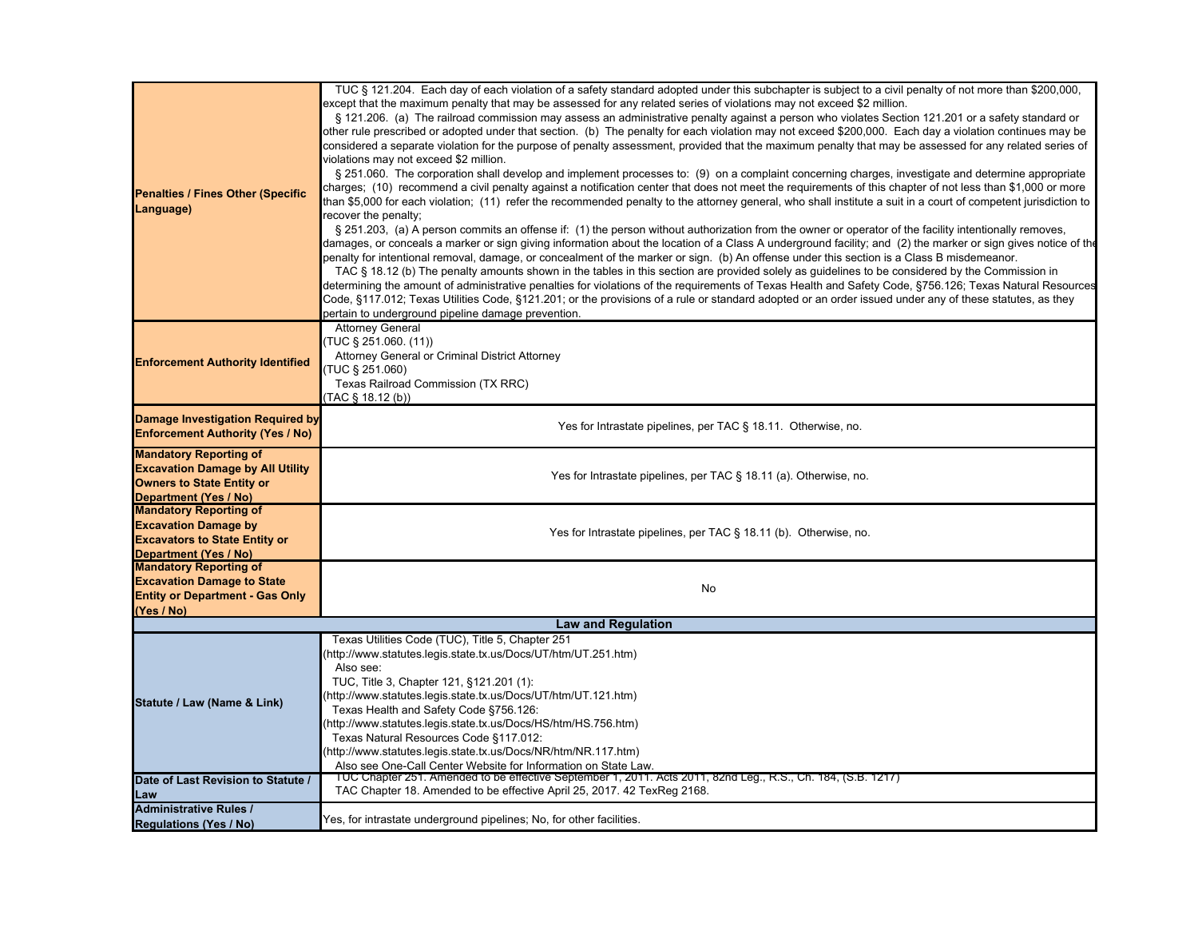| <b>Penalties / Fines Other (Specific</b><br>Language)                                                                                        | TUC § 121.204. Each day of each violation of a safety standard adopted under this subchapter is subject to a civil penalty of not more than \$200,000,<br>except that the maximum penalty that may be assessed for any related series of violations may not exceed \$2 million.<br>§ 121.206. (a) The railroad commission may assess an administrative penalty against a person who violates Section 121.201 or a safety standard or<br>other rule prescribed or adopted under that section. (b) The penalty for each violation may not exceed \$200,000. Each day a violation continues may be<br>considered a separate violation for the purpose of penalty assessment, provided that the maximum penalty that may be assessed for any related series of<br>violations may not exceed \$2 million.<br>§ 251.060. The corporation shall develop and implement processes to: (9) on a complaint concerning charges, investigate and determine appropriate<br>charges; (10) recommend a civil penalty against a notification center that does not meet the requirements of this chapter of not less than \$1,000 or more<br>than \$5,000 for each violation; (11) refer the recommended penalty to the attorney general, who shall institute a suit in a court of competent jurisdiction to<br>recover the penalty;<br>§ 251.203, (a) A person commits an offense if: (1) the person without authorization from the owner or operator of the facility intentionally removes,<br>damages, or conceals a marker or sign giving information about the location of a Class A underground facility; and (2) the marker or sign gives notice of the<br>penalty for intentional removal, damage, or concealment of the marker or sign. (b) An offense under this section is a Class B misdemeanor.<br>TAC § 18.12 (b) The penalty amounts shown in the tables in this section are provided solely as guidelines to be considered by the Commission in<br>determining the amount of administrative penalties for violations of the requirements of Texas Health and Safety Code, §756.126; Texas Natural Resources<br>Code, §117.012; Texas Utilities Code, §121.201; or the provisions of a rule or standard adopted or an order issued under any of these statutes, as they<br>pertain to underground pipeline damage prevention. |
|----------------------------------------------------------------------------------------------------------------------------------------------|----------------------------------------------------------------------------------------------------------------------------------------------------------------------------------------------------------------------------------------------------------------------------------------------------------------------------------------------------------------------------------------------------------------------------------------------------------------------------------------------------------------------------------------------------------------------------------------------------------------------------------------------------------------------------------------------------------------------------------------------------------------------------------------------------------------------------------------------------------------------------------------------------------------------------------------------------------------------------------------------------------------------------------------------------------------------------------------------------------------------------------------------------------------------------------------------------------------------------------------------------------------------------------------------------------------------------------------------------------------------------------------------------------------------------------------------------------------------------------------------------------------------------------------------------------------------------------------------------------------------------------------------------------------------------------------------------------------------------------------------------------------------------------------------------------------------------------------------------------------------------------------------------------------------------------------------------------------------------------------------------------------------------------------------------------------------------------------------------------------------------------------------------------------------------------------------------------------------------------------------------------------------------------------------------------------------------|
| <b>Enforcement Authority Identified</b>                                                                                                      | <b>Attorney General</b><br>$(TUC \S 251.060. (11))$<br>Attorney General or Criminal District Attorney<br>TUC § 251.060)<br>Texas Railroad Commission (TX RRC)<br>(TAC § 18.12 (b))                                                                                                                                                                                                                                                                                                                                                                                                                                                                                                                                                                                                                                                                                                                                                                                                                                                                                                                                                                                                                                                                                                                                                                                                                                                                                                                                                                                                                                                                                                                                                                                                                                                                                                                                                                                                                                                                                                                                                                                                                                                                                                                                         |
| Damage Investigation Required by<br><b>Enforcement Authority (Yes / No)</b>                                                                  | Yes for Intrastate pipelines, per TAC § 18.11. Otherwise, no.                                                                                                                                                                                                                                                                                                                                                                                                                                                                                                                                                                                                                                                                                                                                                                                                                                                                                                                                                                                                                                                                                                                                                                                                                                                                                                                                                                                                                                                                                                                                                                                                                                                                                                                                                                                                                                                                                                                                                                                                                                                                                                                                                                                                                                                              |
| <b>Mandatory Reporting of</b><br><b>Excavation Damage by All Utility</b><br><b>Owners to State Entity or</b><br><b>Department (Yes / No)</b> | Yes for Intrastate pipelines, per TAC § 18.11 (a). Otherwise, no.                                                                                                                                                                                                                                                                                                                                                                                                                                                                                                                                                                                                                                                                                                                                                                                                                                                                                                                                                                                                                                                                                                                                                                                                                                                                                                                                                                                                                                                                                                                                                                                                                                                                                                                                                                                                                                                                                                                                                                                                                                                                                                                                                                                                                                                          |
| <b>Mandatory Reporting of</b><br><b>Excavation Damage by</b><br><b>Excavators to State Entity or</b><br><b>Department (Yes / No)</b>         | Yes for Intrastate pipelines, per TAC § 18.11 (b). Otherwise, no.                                                                                                                                                                                                                                                                                                                                                                                                                                                                                                                                                                                                                                                                                                                                                                                                                                                                                                                                                                                                                                                                                                                                                                                                                                                                                                                                                                                                                                                                                                                                                                                                                                                                                                                                                                                                                                                                                                                                                                                                                                                                                                                                                                                                                                                          |
| <b>Mandatory Reporting of</b><br><b>Excavation Damage to State</b><br><b>Entity or Department - Gas Only</b><br>(Yes / No)                   | No                                                                                                                                                                                                                                                                                                                                                                                                                                                                                                                                                                                                                                                                                                                                                                                                                                                                                                                                                                                                                                                                                                                                                                                                                                                                                                                                                                                                                                                                                                                                                                                                                                                                                                                                                                                                                                                                                                                                                                                                                                                                                                                                                                                                                                                                                                                         |
|                                                                                                                                              | <b>Law and Regulation</b>                                                                                                                                                                                                                                                                                                                                                                                                                                                                                                                                                                                                                                                                                                                                                                                                                                                                                                                                                                                                                                                                                                                                                                                                                                                                                                                                                                                                                                                                                                                                                                                                                                                                                                                                                                                                                                                                                                                                                                                                                                                                                                                                                                                                                                                                                                  |
| Statute / Law (Name & Link)                                                                                                                  | Texas Utilities Code (TUC), Title 5, Chapter 251<br>(http://www.statutes.legis.state.tx.us/Docs/UT/htm/UT.251.htm)<br>Also see:<br>TUC, Title 3, Chapter 121, §121.201 (1):<br>(http://www.statutes.legis.state.tx.us/Docs/UT/htm/UT.121.htm)<br>Texas Health and Safety Code §756.126:<br>(http://www.statutes.legis.state.tx.us/Docs/HS/htm/HS.756.htm)<br>Texas Natural Resources Code §117.012:<br>(http://www.statutes.legis.state.tx.us/Docs/NR/htm/NR.117.htm)<br>Also see One-Call Center Website for Information on State Law.                                                                                                                                                                                                                                                                                                                                                                                                                                                                                                                                                                                                                                                                                                                                                                                                                                                                                                                                                                                                                                                                                                                                                                                                                                                                                                                                                                                                                                                                                                                                                                                                                                                                                                                                                                                    |
| Date of Last Revision to Statute /<br>Law                                                                                                    | TUC Chapter 251. Amended to be effective September 1, 2011. Acts 2011, 82nd Leg., R.S., Ch. 184, (S.B. 1217)<br>TAC Chapter 18. Amended to be effective April 25, 2017. 42 TexReg 2168.                                                                                                                                                                                                                                                                                                                                                                                                                                                                                                                                                                                                                                                                                                                                                                                                                                                                                                                                                                                                                                                                                                                                                                                                                                                                                                                                                                                                                                                                                                                                                                                                                                                                                                                                                                                                                                                                                                                                                                                                                                                                                                                                    |
| <b>Administrative Rules /</b><br><b>Regulations (Yes / No)</b>                                                                               | Yes, for intrastate underground pipelines; No, for other facilities.                                                                                                                                                                                                                                                                                                                                                                                                                                                                                                                                                                                                                                                                                                                                                                                                                                                                                                                                                                                                                                                                                                                                                                                                                                                                                                                                                                                                                                                                                                                                                                                                                                                                                                                                                                                                                                                                                                                                                                                                                                                                                                                                                                                                                                                       |